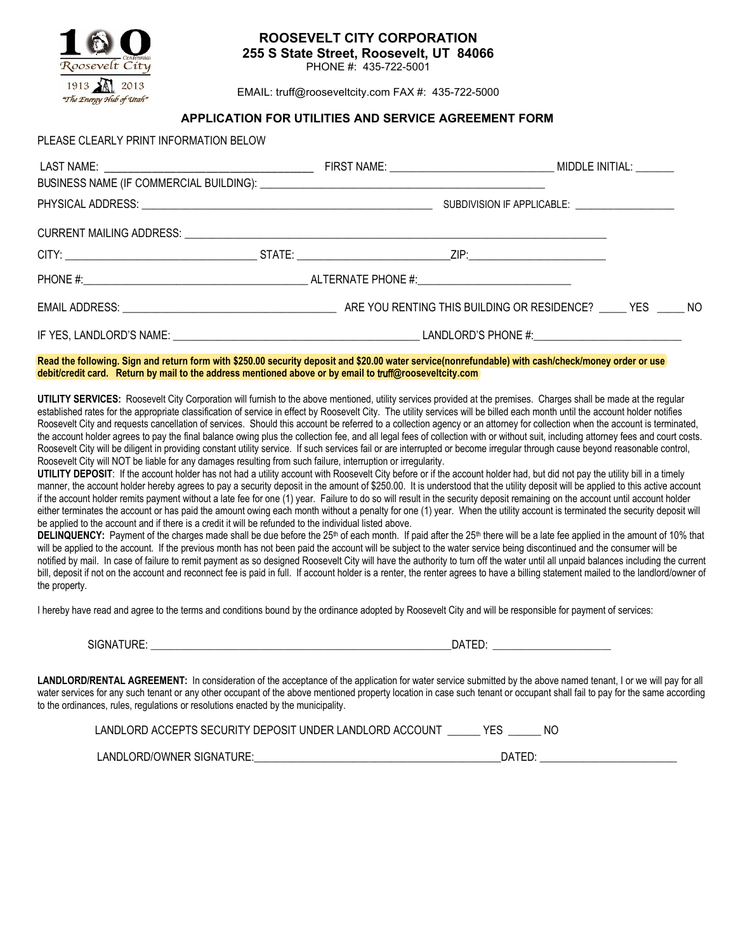

PLEASE CLEARLY PRINT INFORMATION BELOW

## **ROOSEVELT CITY CORPORATION 255 S State Street, Roosevelt, UT 84066**

PHONE #: 435-722-5001

EMAIL: truff@rooseveltcity.com FAX #: 435-722-5000

## **APPLICATION FOR UTILITIES AND SERVICE AGREEMENT FORM**

|  |  | BUSINESS NAME (IF COMMERCIAL BUILDING): University of the state of the contract of the community of the community of the community of the community of the community of the community of the community of the community of the<br>SUBDIVISION IF APPLICABLE: ___________________ |  |  |
|--|--|----------------------------------------------------------------------------------------------------------------------------------------------------------------------------------------------------------------------------------------------------------------------------------|--|--|
|  |  |                                                                                                                                                                                                                                                                                  |  |  |
|  |  |                                                                                                                                                                                                                                                                                  |  |  |
|  |  |                                                                                                                                                                                                                                                                                  |  |  |
|  |  |                                                                                                                                                                                                                                                                                  |  |  |
|  |  |                                                                                                                                                                                                                                                                                  |  |  |

## **Read the following. Sign and return form with \$250.00 security deposit and \$20.00 water service(nonrefundable) with cash/check/money order or use debit/credit card. Return by mail to the address mentioned above or by email to** truff**@rooseveltcity.com**

**UTILITY SERVICES:** Roosevelt City Corporation will furnish to the above mentioned, utility services provided at the premises. Charges shall be made at the regular established rates for the appropriate classification of service in effect by Roosevelt City. The utility services will be billed each month until the account holder notifies Roosevelt City and requests cancellation of services. Should this account be referred to a collection agency or an attorney for collection when the account is terminated, the account holder agrees to pay the final balance owing plus the collection fee, and all legal fees of collection with or without suit, including attorney fees and court costs. Roosevelt City will be diligent in providing constant utility service. If such services fail or are interrupted or become irregular through cause beyond reasonable control, Roosevelt City will NOT be liable for any damages resulting from such failure, interruption or irregularity.

**UTILITY DEPOSIT:** If the account holder has not had a utility account with Roosevelt City before or if the account holder had, but did not pay the utility bill in a timely manner, the account holder hereby agrees to pay a security deposit in the amount of \$250.00. It is understood that the utility deposit will be applied to this active account if the account holder remits payment without a late fee for one (1) year. Failure to do so will result in the security deposit remaining on the account until account holder either terminates the account or has paid the amount owing each month without a penalty for one (1) year. When the utility account is terminated the security deposit will be applied to the account and if there is a credit it will be refunded to the individual listed above.

DELINQUENCY: Payment of the charges made shall be due before the 25<sup>th</sup> of each month. If paid after the 25<sup>th</sup> there will be a late fee applied in the amount of 10% that will be applied to the account. If the previous month has not been paid the account will be subject to the water service being discontinued and the consumer will be notified by mail. In case of failure to remit payment as so designed Roosevelt City will have the authority to turn off the water until all unpaid balances including the current bill, deposit if not on the account and reconnect fee is paid in full. If account holder is a renter, the renter agrees to have a billing statement mailed to the landlord/owner of the property.

I hereby have read and agree to the terms and conditions bound by the ordinance adopted by Roosevelt City and will be responsible for payment of services:

SIGNATURE: \_\_\_\_\_\_\_\_\_\_\_\_\_\_\_\_\_\_\_\_\_\_\_\_\_\_\_\_\_\_\_\_\_\_\_\_\_\_\_\_\_\_\_\_\_\_\_\_\_\_\_\_\_\_\_\_\_\_\_\_\_DATED: \_\_\_\_\_\_\_\_\_\_\_\_\_\_\_\_\_\_\_\_\_\_\_\_

LANDLORD/RENTAL AGREEMENT: In consideration of the acceptance of the application for water service submitted by the above named tenant, I or we will pay for all water services for any such tenant or any other occupant of the above mentioned property location in case such tenant or occupant shall fail to pay for the same according to the ordinances, rules, regulations or resolutions enacted by the municipality.

| LANDLORD ACCEPTS SECURITY DEPOSIT UNDER LANDLORD ACCOUNT | NO. |
|----------------------------------------------------------|-----|
|----------------------------------------------------------|-----|

LANDLORD/OWNER SIGNATURE: